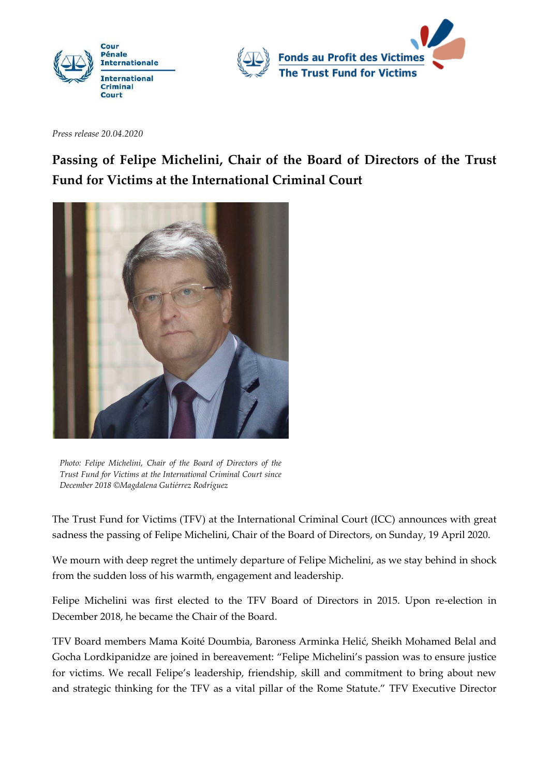



*Press release 20.04.2020*

## **Passing of Felipe Michelini, Chair of the Board of Directors of the Trust Fund for Victims at the International Criminal Court**



*Photo: Felipe Michelini, Chair of the Board of Directors of the Trust Fund for Victims at the International Criminal Court since December 2018 ©Magdalena Gutiérrez Rodríguez*

The Trust Fund for Victims (TFV) at the International Criminal Court (ICC) announces with great sadness the passing of Felipe Michelini, Chair of the Board of Directors, on Sunday, 19 April 2020.

We mourn with deep regret the untimely departure of Felipe Michelini, as we stay behind in shock from the sudden loss of his warmth, engagement and leadership.

Felipe Michelini was first elected to the TFV Board of Directors in 2015. Upon re-election in December 2018, he became the Chair of the Board.

TFV Board members Mama Koité Doumbia, Baroness Arminka Helić, Sheikh Mohamed Belal and Gocha Lordkipanidze are joined in bereavement: "Felipe Michelini's passion was to ensure justice for victims. We recall Felipe's leadership, friendship, skill and commitment to bring about new and strategic thinking for the TFV as a vital pillar of the Rome Statute." TFV Executive Director